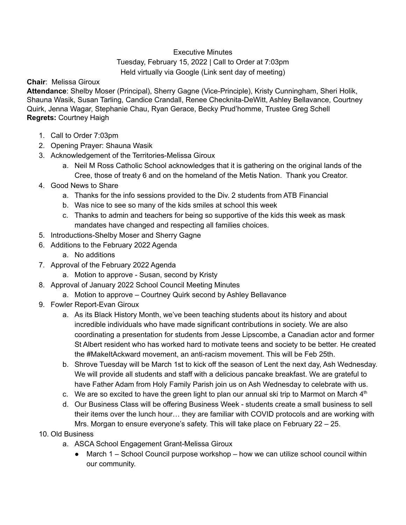## Executive Minutes

## Tuesday, February 15, 2022 | Call to Order at 7:03pm Held virtually via Google (Link sent day of meeting)

## **Chair**: Melissa Giroux

**Attendance**: Shelby Moser (Principal), Sherry Gagne (Vice-Principle), Kristy Cunningham, Sheri Holik, Shauna Wasik, Susan Tarling, Candice Crandall, Renee Checknita-DeWitt, Ashley Bellavance, Courtney Quirk, Jenna Wagar, Stephanie Chau, Ryan Gerace, Becky Prud'homme, Trustee Greg Schell **Regrets:** Courtney Haigh

- 1. Call to Order 7:03pm
- 2. Opening Prayer: Shauna Wasik
- 3. Acknowledgement of the Territories-Melissa Giroux
	- a. Neil M Ross Catholic School acknowledges that it is gathering on the original lands of the Cree, those of treaty 6 and on the homeland of the Metis Nation. Thank you Creator.
- 4. Good News to Share
	- a. Thanks for the info sessions provided to the Div. 2 students from ATB Financial
	- b. Was nice to see so many of the kids smiles at school this week
	- c. Thanks to admin and teachers for being so supportive of the kids this week as mask mandates have changed and respecting all families choices.
- 5. Introductions-Shelby Moser and Sherry Gagne
- 6. Additions to the February 2022 Agenda
	- a. No additions
- 7. Approval of the February 2022 Agenda
	- a. Motion to approve Susan, second by Kristy
- 8. Approval of January 2022 School Council Meeting Minutes
	- a. Motion to approve Courtney Quirk second by Ashley Bellavance
- 9. Fowler Report-Evan Giroux
	- a. As its Black History Month, we've been teaching students about its history and about incredible individuals who have made significant contributions in society. We are also coordinating a presentation for students from Jesse Lipscombe, a Canadian actor and former St Albert resident who has worked hard to motivate teens and society to be better. He created the #MakeItAckward movement, an anti-racism movement. This will be Feb 25th.
	- b. Shrove Tuesday will be March 1st to kick off the season of Lent the next day, Ash Wednesday. We will provide all students and staff with a delicious pancake breakfast. We are grateful to have Father Adam from Holy Family Parish join us on Ash Wednesday to celebrate with us.
	- c. We are so excited to have the green light to plan our annual ski trip to Marmot on March  $4<sup>th</sup>$
	- d. Our Business Class will be offering Business Week students create a small business to sell their items over the lunch hour… they are familiar with COVID protocols and are working with Mrs. Morgan to ensure everyone's safety. This will take place on February 22 – 25.
- 10. Old Business
	- a. ASCA School Engagement Grant-Melissa Giroux
		- $\bullet$  March 1 School Council purpose workshop how we can utilize school council within our community.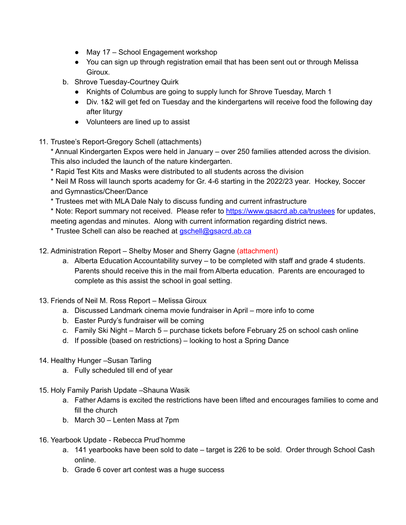- May 17 School Engagement workshop
- You can sign up through registration email that has been sent out or through Melissa Giroux.
- b. Shrove Tuesday-Courtney Quirk
	- Knights of Columbus are going to supply lunch for Shrove Tuesday, March 1
	- Div. 1&2 will get fed on Tuesday and the kindergartens will receive food the following day after liturgy
	- Volunteers are lined up to assist
- 11. Trustee's Report-Gregory Schell (attachments)

\* Annual Kindergarten Expos were held in January – over 250 families attended across the division. This also included the launch of the nature kindergarten.

\* Rapid Test Kits and Masks were distributed to all students across the division

\* Neil M Ross will launch sports academy for Gr. 4-6 starting in the 2022/23 year. Hockey, Soccer and Gymnastics/Cheer/Dance

\* Trustees met with MLA Dale Naly to discuss funding and current infrastructure

\* Note: Report summary not received. Please refer to <https://www.gsacrd.ab.ca/trustees> for updates, meeting agendas and minutes. Along with current information regarding district news.

\* Trustee Schell can also be reached at [gschell@gsacrd.ab.ca](mailto:gschell@gsacrd.ab.ca)

- 12. Administration Report Shelby Moser and Sherry Gagne (attachment)
	- a. Alberta Education Accountability survey to be completed with staff and grade 4 students. Parents should receive this in the mail from Alberta education. Parents are encouraged to complete as this assist the school in goal setting.
- 13. Friends of Neil M. Ross Report Melissa Giroux
	- a. Discussed Landmark cinema movie fundraiser in April more info to come
	- b. Easter Purdy's fundraiser will be coming
	- c. Family Ski Night March 5 purchase tickets before February 25 on school cash online
	- d. If possible (based on restrictions) looking to host a Spring Dance
- 14. Healthy Hunger –Susan Tarling
	- a. Fully scheduled till end of year
- 15. Holy Family Parish Update –Shauna Wasik
	- a. Father Adams is excited the restrictions have been lifted and encourages families to come and fill the church
	- b. March 30 Lenten Mass at 7pm
- 16. Yearbook Update Rebecca Prud'homme
	- a. 141 yearbooks have been sold to date target is 226 to be sold. Order through School Cash online.
	- b. Grade 6 cover art contest was a huge success